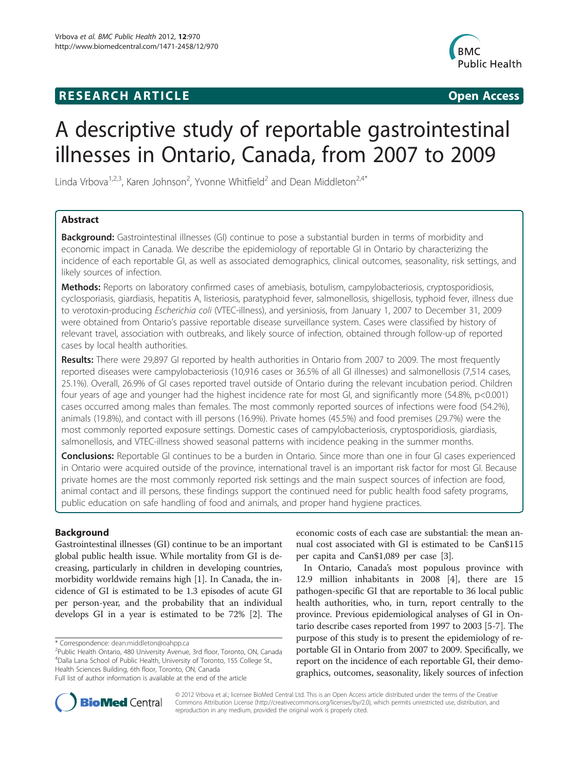## **RESEARCH ARTICLE Example 2018 12:00 Department of the CONNECTION CONNECTION CONNECTION CONNECTION**



# A descriptive study of reportable gastrointestinal illnesses in Ontario, Canada, from 2007 to 2009

Linda Vrbova<sup>1,2,3</sup>, Karen Johnson<sup>2</sup>, Yvonne Whitfield<sup>2</sup> and Dean Middleton<sup>2,4\*</sup>

## Abstract

**Background:** Gastrointestinal illnesses (GI) continue to pose a substantial burden in terms of morbidity and economic impact in Canada. We describe the epidemiology of reportable GI in Ontario by characterizing the incidence of each reportable GI, as well as associated demographics, clinical outcomes, seasonality, risk settings, and likely sources of infection.

Methods: Reports on laboratory confirmed cases of amebiasis, botulism, campylobacteriosis, cryptosporidiosis, cyclosporiasis, giardiasis, hepatitis A, listeriosis, paratyphoid fever, salmonellosis, shigellosis, typhoid fever, illness due to verotoxin-producing Escherichia coli (VTEC-illness), and yersiniosis, from January 1, 2007 to December 31, 2009 were obtained from Ontario's passive reportable disease surveillance system. Cases were classified by history of relevant travel, association with outbreaks, and likely source of infection, obtained through follow-up of reported cases by local health authorities.

Results: There were 29,897 GI reported by health authorities in Ontario from 2007 to 2009. The most frequently reported diseases were campylobacteriosis (10,916 cases or 36.5% of all GI illnesses) and salmonellosis (7,514 cases, 25.1%). Overall, 26.9% of GI cases reported travel outside of Ontario during the relevant incubation period. Children four years of age and younger had the highest incidence rate for most GI, and significantly more (54.8%, p<0.001) cases occurred among males than females. The most commonly reported sources of infections were food (54.2%), animals (19.8%), and contact with ill persons (16.9%). Private homes (45.5%) and food premises (29.7%) were the most commonly reported exposure settings. Domestic cases of campylobacteriosis, cryptosporidiosis, giardiasis, salmonellosis, and VTEC-illness showed seasonal patterns with incidence peaking in the summer months.

**Conclusions:** Reportable GI continues to be a burden in Ontario. Since more than one in four GI cases experienced in Ontario were acquired outside of the province, international travel is an important risk factor for most GI. Because private homes are the most commonly reported risk settings and the main suspect sources of infection are food, animal contact and ill persons, these findings support the continued need for public health food safety programs, public education on safe handling of food and animals, and proper hand hygiene practices.

## Background

Gastrointestinal illnesses (GI) continue to be an important global public health issue. While mortality from GI is decreasing, particularly in children in developing countries, morbidity worldwide remains high [[1\]](#page-10-0). In Canada, the incidence of GI is estimated to be 1.3 episodes of acute GI per person-year, and the probability that an individual develops GI in a year is estimated to be 72% [[2\]](#page-10-0). The

\* Correspondence: [dean.middleton@oahpp.ca](mailto:dean.middleton@oahpp.ca) <sup>2</sup>

<sup>2</sup>Public Health Ontario, 480 University Avenue, 3rd floor, Toronto, ON, Canada 4 Dalla Lana School of Public Health, University of Toronto, 155 College St., Health Sciences Building, 6th floor, Toronto, ON, Canada

economic costs of each case are substantial: the mean annual cost associated with GI is estimated to be Can\$115 per capita and Can\$1,089 per case [[3](#page-10-0)].

In Ontario, Canada's most populous province with 12.9 million inhabitants in 2008 [\[4](#page-10-0)], there are 15 pathogen-specific GI that are reportable to 36 local public health authorities, who, in turn, report centrally to the province. Previous epidemiological analyses of GI in Ontario describe cases reported from 1997 to 2003 [[5-7\]](#page-10-0). The purpose of this study is to present the epidemiology of reportable GI in Ontario from 2007 to 2009. Specifically, we report on the incidence of each reportable GI, their demographics, outcomes, seasonality, likely sources of infection



© 2012 Vrbova et al.; licensee BioMed Central Ltd. This is an Open Access article distributed under the terms of the Creative Commons Attribution License [\(http://creativecommons.org/licenses/by/2.0\)](http://creativecommons.org/licenses/by/2.0), which permits unrestricted use, distribution, and reproduction in any medium, provided the original work is properly cited.

Full list of author information is available at the end of the article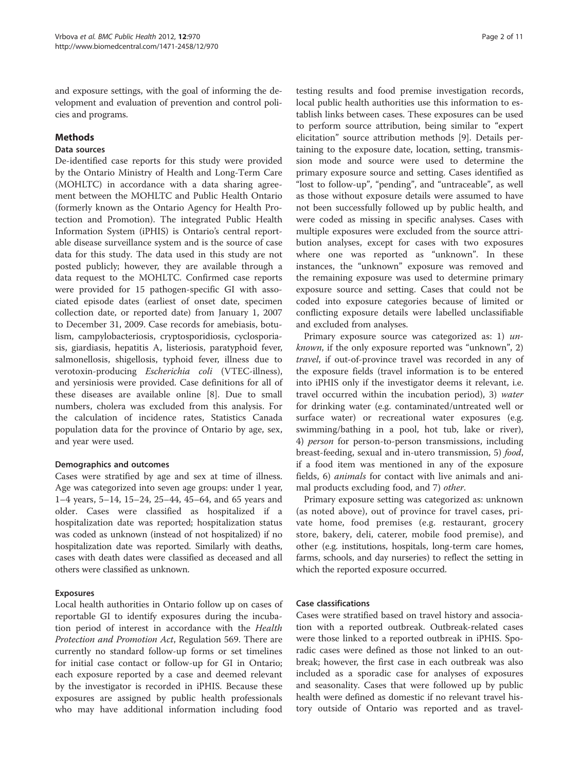and exposure settings, with the goal of informing the development and evaluation of prevention and control policies and programs.

## Methods

#### Data sources

De-identified case reports for this study were provided by the Ontario Ministry of Health and Long-Term Care (MOHLTC) in accordance with a data sharing agreement between the MOHLTC and Public Health Ontario (formerly known as the Ontario Agency for Health Protection and Promotion). The integrated Public Health Information System (iPHIS) is Ontario's central reportable disease surveillance system and is the source of case data for this study. The data used in this study are not posted publicly; however, they are available through a data request to the MOHLTC. Confirmed case reports were provided for 15 pathogen-specific GI with associated episode dates (earliest of onset date, specimen collection date, or reported date) from January 1, 2007 to December 31, 2009. Case records for amebiasis, botulism, campylobacteriosis, cryptosporidiosis, cyclosporiasis, giardiasis, hepatitis A, listeriosis, paratyphoid fever, salmonellosis, shigellosis, typhoid fever, illness due to verotoxin-producing Escherichia coli (VTEC-illness), and yersiniosis were provided. Case definitions for all of these diseases are available online [[8\]](#page-10-0). Due to small numbers, cholera was excluded from this analysis. For the calculation of incidence rates, Statistics Canada population data for the province of Ontario by age, sex, and year were used.

## Demographics and outcomes

Cases were stratified by age and sex at time of illness. Age was categorized into seven age groups: under 1 year, 1–4 years, 5–14, 15–24, 25–44, 45–64, and 65 years and older. Cases were classified as hospitalized if a hospitalization date was reported; hospitalization status was coded as unknown (instead of not hospitalized) if no hospitalization date was reported. Similarly with deaths, cases with death dates were classified as deceased and all others were classified as unknown.

## Exposures

Local health authorities in Ontario follow up on cases of reportable GI to identify exposures during the incubation period of interest in accordance with the Health Protection and Promotion Act, Regulation 569. There are currently no standard follow-up forms or set timelines for initial case contact or follow-up for GI in Ontario; each exposure reported by a case and deemed relevant by the investigator is recorded in iPHIS. Because these exposures are assigned by public health professionals who may have additional information including food

testing results and food premise investigation records, local public health authorities use this information to establish links between cases. These exposures can be used to perform source attribution, being similar to "expert elicitation" source attribution methods [[9\]](#page-10-0). Details pertaining to the exposure date, location, setting, transmission mode and source were used to determine the primary exposure source and setting. Cases identified as "lost to follow-up", "pending", and "untraceable", as well as those without exposure details were assumed to have not been successfully followed up by public health, and were coded as missing in specific analyses. Cases with multiple exposures were excluded from the source attribution analyses, except for cases with two exposures where one was reported as "unknown". In these instances, the "unknown" exposure was removed and the remaining exposure was used to determine primary exposure source and setting. Cases that could not be coded into exposure categories because of limited or conflicting exposure details were labelled unclassifiable and excluded from analyses.

Primary exposure source was categorized as: 1) *un*known, if the only exposure reported was "unknown", 2) travel, if out-of-province travel was recorded in any of the exposure fields (travel information is to be entered into iPHIS only if the investigator deems it relevant, i.e. travel occurred within the incubation period), 3) water for drinking water (e.g. contaminated/untreated well or surface water) or recreational water exposures (e.g. swimming/bathing in a pool, hot tub, lake or river), 4) person for person-to-person transmissions, including breast-feeding, sexual and in-utero transmission, 5) food, if a food item was mentioned in any of the exposure fields, 6) animals for contact with live animals and animal products excluding food, and 7) other.

Primary exposure setting was categorized as: unknown (as noted above), out of province for travel cases, private home, food premises (e.g. restaurant, grocery store, bakery, deli, caterer, mobile food premise), and other (e.g. institutions, hospitals, long-term care homes, farms, schools, and day nurseries) to reflect the setting in which the reported exposure occurred.

## Case classifications

Cases were stratified based on travel history and association with a reported outbreak. Outbreak-related cases were those linked to a reported outbreak in iPHIS. Sporadic cases were defined as those not linked to an outbreak; however, the first case in each outbreak was also included as a sporadic case for analyses of exposures and seasonality. Cases that were followed up by public health were defined as domestic if no relevant travel history outside of Ontario was reported and as travel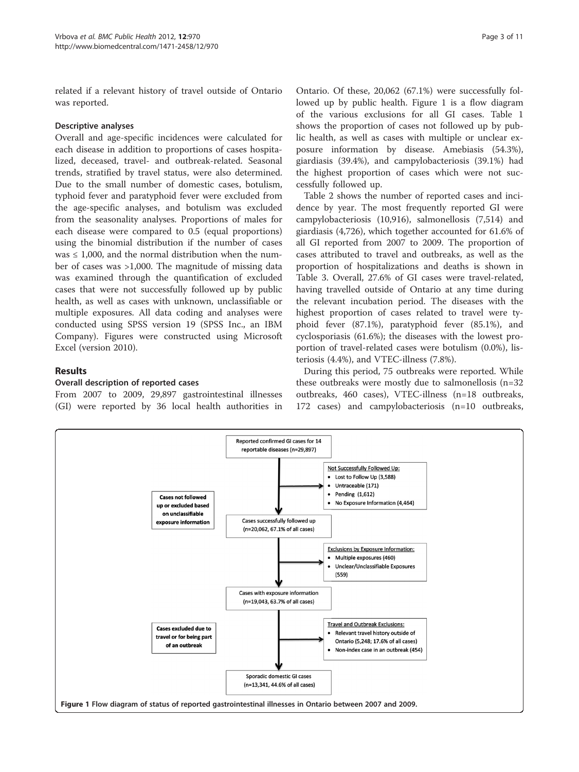<span id="page-2-0"></span>related if a relevant history of travel outside of Ontario was reported.

#### Descriptive analyses

Overall and age-specific incidences were calculated for each disease in addition to proportions of cases hospitalized, deceased, travel- and outbreak-related. Seasonal trends, stratified by travel status, were also determined. Due to the small number of domestic cases, botulism, typhoid fever and paratyphoid fever were excluded from the age-specific analyses, and botulism was excluded from the seasonality analyses. Proportions of males for each disease were compared to 0.5 (equal proportions) using the binomial distribution if the number of cases was  $\leq$  1,000, and the normal distribution when the number of cases was >1,000. The magnitude of missing data was examined through the quantification of excluded cases that were not successfully followed up by public health, as well as cases with unknown, unclassifiable or multiple exposures. All data coding and analyses were conducted using SPSS version 19 (SPSS Inc., an IBM Company). Figures were constructed using Microsoft Excel (version 2010).

## Results

#### Overall description of reported cases

From 2007 to 2009, 29,897 gastrointestinal illnesses (GI) were reported by 36 local health authorities in

Ontario. Of these, 20,062 (67.1%) were successfully followed up by public health. Figure 1 is a flow diagram of the various exclusions for all GI cases. Table [1](#page-3-0) shows the proportion of cases not followed up by public health, as well as cases with multiple or unclear exposure information by disease. Amebiasis (54.3%), giardiasis (39.4%), and campylobacteriosis (39.1%) had the highest proportion of cases which were not successfully followed up.

Table [2](#page-3-0) shows the number of reported cases and incidence by year. The most frequently reported GI were campylobacteriosis (10,916), salmonellosis (7,514) and giardiasis (4,726), which together accounted for 61.6% of all GI reported from 2007 to 2009. The proportion of cases attributed to travel and outbreaks, as well as the proportion of hospitalizations and deaths is shown in Table [3.](#page-4-0) Overall, 27.6% of GI cases were travel-related, having travelled outside of Ontario at any time during the relevant incubation period. The diseases with the highest proportion of cases related to travel were typhoid fever (87.1%), paratyphoid fever (85.1%), and cyclosporiasis (61.6%); the diseases with the lowest proportion of travel-related cases were botulism (0.0%), listeriosis (4.4%), and VTEC-illness (7.8%).

During this period, 75 outbreaks were reported. While these outbreaks were mostly due to salmonellosis (n=32 outbreaks, 460 cases), VTEC-illness (n=18 outbreaks, 172 cases) and campylobacteriosis (n=10 outbreaks,

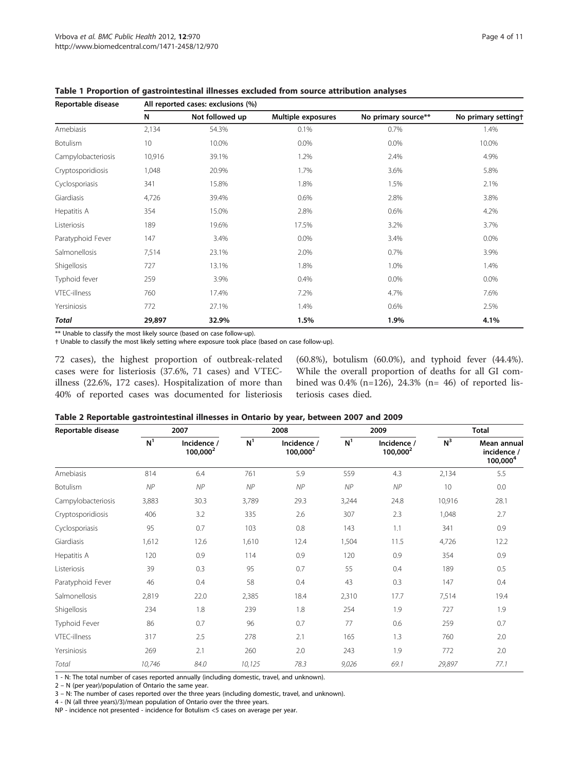| Reportable disease | All reported cases: exclusions (%) |                 |                    |                     |                     |  |  |  |  |
|--------------------|------------------------------------|-----------------|--------------------|---------------------|---------------------|--|--|--|--|
|                    | N                                  | Not followed up | Multiple exposures | No primary source** | No primary settingt |  |  |  |  |
| Amebiasis          | 2,134                              | 54.3%           | 0.1%               | 0.7%                | 1.4%                |  |  |  |  |
| Botulism           | 10                                 | 10.0%           | 0.0%               | 0.0%                | 10.0%               |  |  |  |  |
| Campylobacteriosis | 10,916                             | 39.1%           | 1.2%               | 2.4%                | 4.9%                |  |  |  |  |
| Cryptosporidiosis  | 1,048                              | 20.9%           | 1.7%               | 3.6%                | 5.8%                |  |  |  |  |
| Cyclosporiasis     | 341                                | 15.8%           | 1.8%               | 1.5%                | 2.1%                |  |  |  |  |
| Giardiasis         | 4,726                              | 39.4%           | 0.6%               | 2.8%                | 3.8%                |  |  |  |  |
| Hepatitis A        | 354                                | 15.0%           | 2.8%               | 0.6%                | 4.2%                |  |  |  |  |
| Listeriosis        | 189                                | 19.6%           | 17.5%              | 3.2%                | 3.7%                |  |  |  |  |
| Paratyphoid Fever  | 147                                | 3.4%            | $0.0\%$            | 3.4%                | 0.0%                |  |  |  |  |
| Salmonellosis      | 7,514                              | 23.1%           | 2.0%               | 0.7%                | 3.9%                |  |  |  |  |
| Shigellosis        | 727                                | 13.1%           | 1.8%               | 1.0%                | 1.4%                |  |  |  |  |
| Typhoid fever      | 259                                | 3.9%            | 0.4%               | $0.0\%$             | 0.0%                |  |  |  |  |
| VTEC-illness       | 760                                | 17.4%           | 7.2%               | 4.7%                | 7.6%                |  |  |  |  |
| Yersiniosis        | 772                                | 27.1%           | 1.4%               | 0.6%                | 2.5%                |  |  |  |  |
| Total              | 29,897                             | 32.9%           | 1.5%               | 1.9%                | 4.1%                |  |  |  |  |

<span id="page-3-0"></span>Table 1 Proportion of gastrointestinal illnesses excluded from source attribution analyses

\*\* Unable to classify the most likely source (based on case follow-up).

† Unable to classify the most likely setting where exposure took place (based on case follow-up).

72 cases), the highest proportion of outbreak-related cases were for listeriosis (37.6%, 71 cases) and VTECillness (22.6%, 172 cases). Hospitalization of more than 40% of reported cases was documented for listeriosis (60.8%), botulism (60.0%), and typhoid fever (44.4%). While the overall proportion of deaths for all GI combined was 0.4% (n=126), 24.3% (n= 46) of reported listeriosis cases died.

|  |  |  | Table 2 Reportable gastrointestinal illnesses in Ontario by year, between 2007 and 2009 |
|--|--|--|-----------------------------------------------------------------------------------------|
|--|--|--|-----------------------------------------------------------------------------------------|

| Reportable disease | 2007           |                            | 2008           |                            | 2009           |                                     | <b>Total</b> |                                           |
|--------------------|----------------|----------------------------|----------------|----------------------------|----------------|-------------------------------------|--------------|-------------------------------------------|
|                    | N <sup>1</sup> | Incidence /<br>$100,000^2$ | N <sup>1</sup> | Incidence /<br>$100,000^2$ | N <sup>1</sup> | Incidence /<br>100,000 <sup>2</sup> | $N^3$        | Mean annual<br>incidence /<br>$100,000^4$ |
| Amebiasis          | 814            | 6.4                        | 761            | 5.9                        | 559            | 4.3                                 | 2,134        | 5.5                                       |
| <b>Botulism</b>    | NP             | NP                         | NP             | NP                         | NP             | NP                                  | 10           | 0.0                                       |
| Campylobacteriosis | 3,883          | 30.3                       | 3,789          | 29.3                       | 3,244          | 24.8                                | 10,916       | 28.1                                      |
| Cryptosporidiosis  | 406            | 3.2                        | 335            | 2.6                        | 307            | 2.3                                 | 1,048        | 2.7                                       |
| Cyclosporiasis     | 95             | 0.7                        | 103            | 0.8                        | 143            | 1.1                                 | 341          | 0.9                                       |
| Giardiasis         | 1,612          | 12.6                       | 1,610          | 12.4                       | 1,504          | 11.5                                | 4,726        | 12.2                                      |
| Hepatitis A        | 120            | 0.9                        | 114            | 0.9                        | 120            | 0.9                                 | 354          | 0.9                                       |
| Listeriosis        | 39             | 0.3                        | 95             | 0.7                        | 55             | 0.4                                 | 189          | 0.5                                       |
| Paratyphoid Fever  | 46             | 0.4                        | 58             | 0.4                        | 43             | 0.3                                 | 147          | 0.4                                       |
| Salmonellosis      | 2,819          | 22.0                       | 2,385          | 18.4                       | 2,310          | 17.7                                | 7,514        | 19.4                                      |
| Shigellosis        | 234            | 1.8                        | 239            | 1.8                        | 254            | 1.9                                 | 727          | 1.9                                       |
| Typhoid Fever      | 86             | 0.7                        | 96             | 0.7                        | 77             | 0.6                                 | 259          | 0.7                                       |
| VTEC-illness       | 317            | 2.5                        | 278            | 2.1                        | 165            | 1.3                                 | 760          | 2.0                                       |
| Yersiniosis        | 269            | 2.1                        | 260            | 2.0                        | 243            | 1.9                                 | 772          | 2.0                                       |
| Total              | 10,746         | 84.0                       | 10,125         | 78.3                       | 9,026          | 69.1                                | 29,897       | 77.1                                      |

1 - N: The total number of cases reported annually (including domestic, travel, and unknown).

2 – N (per year)/population of Ontario the same year.

3 – N: The number of cases reported over the three years (including domestic, travel, and unknown).

4 - (N (all three years)/3)/mean population of Ontario over the three years.

NP - incidence not presented - incidence for Botulism <5 cases on average per year.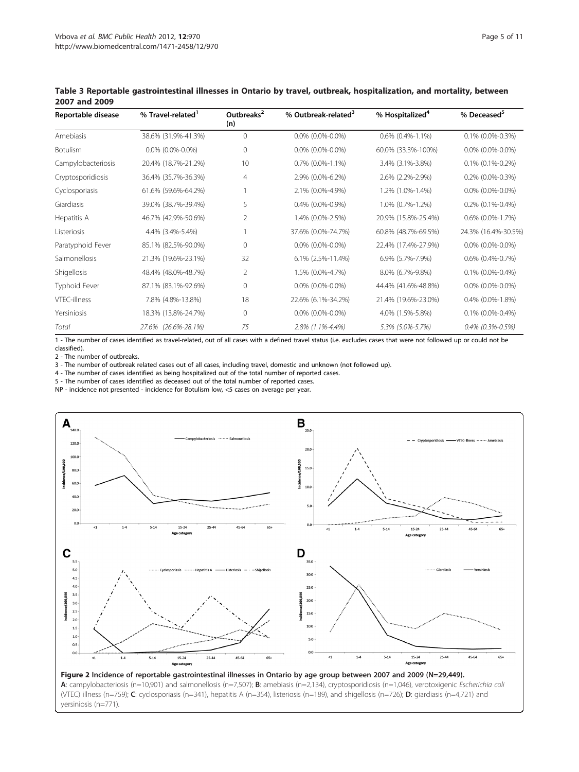| Reportable disease | % Travel-related <sup>1</sup> | Outbreaks <sup>2</sup><br>(n) | % Outbreak-related <sup>3</sup> | % Hospitalized <sup>4</sup> | % Deceased <sup>5</sup>   |  |
|--------------------|-------------------------------|-------------------------------|---------------------------------|-----------------------------|---------------------------|--|
| Amebiasis          | 38.6% (31.9%-41.3%)           | $\mathbf{0}$                  | $0.0\%$ (0.0%-0.0%)             | $0.6\%$ $(0.4\% - 1.1\%)$   | $0.1\%$ (0.0%-0.3%)       |  |
| <b>Botulism</b>    | $0.0\%$ (0.0%-0.0%)           | 0                             | $0.0\%$ (0.0%-0.0%)             | 60.0% (33.3%-100%)          | $0.0\%$ (0.0%-0.0%)       |  |
| Campylobacteriosis | 20.4% (18.7%-21.2%)           | 10                            | $0.7\%$ $(0.0\% - 1.1\%)$       | 3.4% (3.1%-3.8%)            | $0.1\%$ (0.1%-0.2%)       |  |
| Cryptosporidiosis  | 36.4% (35.7%-36.3%)           | 4                             | 2.9% (0.0%-6.2%)                | 2.6% (2.2%-2.9%)            | $0.2\%$ (0.0%-0.3%)       |  |
| Cyclosporiasis     | 61.6% (59.6%-64.2%)           |                               | 2.1% (0.0%-4.9%)                | 1.2% (1.0%-1.4%)            | $0.0\%$ (0.0%-0.0%)       |  |
| Giardiasis         | 39.0% (38.7%-39.4%)           | 5                             | $0.4\%$ (0.0%-0.9%)             | 1.0% (0.7%-1.2%)            | $0.2\%$ $(0.1\% - 0.4\%)$ |  |
| Hepatitis A        | 46.7% (42.9%-50.6%)           | 2                             | 1.4% (0.0%-2.5%)                | 20.9% (15.8%-25.4%)         | $0.6\%$ $(0.0\% - 1.7\%)$ |  |
| Listeriosis        | 4.4% (3.4%-5.4%)              |                               | 37.6% (0.0%-74.7%)              | 60.8% (48.7%-69.5%)         | 24.3% (16.4%-30.5%)       |  |
| Paratyphoid Fever  | 85.1% (82.5%-90.0%)           | 0                             | $0.0\%$ (0.0%-0.0%)             | 22.4% (17.4%-27.9%)         | $0.0\%$ (0.0%-0.0%)       |  |
| Salmonellosis      | 21.3% (19.6%-23.1%)           | 32                            | 6.1% (2.5%-11.4%)               | 6.9% (5.7%-7.9%)            | $0.6\%$ $(0.4\% - 0.7\%)$ |  |
| Shigellosis        | 48.4% (48.0%-48.7%)           | 2                             | 1.5% (0.0%-4.7%)                | 8.0% (6.7%-9.8%)            | $0.1\%$ (0.0%-0.4%)       |  |
| Typhoid Fever      | 87.1% (83.1%-92.6%)           | 0                             | $0.0\%$ (0.0%-0.0%)             | 44.4% (41.6%-48.8%)         | $0.0\%$ (0.0%-0.0%)       |  |
| VTEC-illness       | 7.8% (4.8%-13.8%)             | 18                            | 22.6% (6.1%-34.2%)              | 21.4% (19.6%-23.0%)         | $0.4\%$ $(0.0\% - 1.8\%)$ |  |
| Yersiniosis        | 18.3% (13.8%-24.7%)           | $\mathbf{0}$                  | $0.0\%$ (0.0%-0.0%)             | 4.0% (1.5%-5.8%)            | $0.1\%$ (0.0%-0.4%)       |  |
| Total              | $(26.6\% - 28.1\%)$<br>27.6%  | 75                            | 2.8% (1.1%-4.4%)                | 5.3% (5.0%-5.7%)            | $0.4\%$ (0.3%-0.5%)       |  |

<span id="page-4-0"></span>Table 3 Reportable gastrointestinal illnesses in Ontario by travel, outbreak, hospitalization, and mortality, between 2007 and 2009

1 - The number of cases identified as travel-related, out of all cases with a defined travel status (i.e. excludes cases that were not followed up or could not be classified).

2 - The number of outbreaks.

3 - The number of outbreak related cases out of all cases, including travel, domestic and unknown (not followed up).

4 - The number of cases identified as being hospitalized out of the total number of reported cases.

5 - The number of cases identified as deceased out of the total number of reported cases.

NP - incidence not presented - incidence for Botulism low, <5 cases on average per year.



(VTEC) illness (n=759); C: cyclosporiasis (n=341), hepatitis A (n=354), listeriosis (n=189), and shigellosis (n=726); D: giardiasis (n=4,721) and yersiniosis (n=771).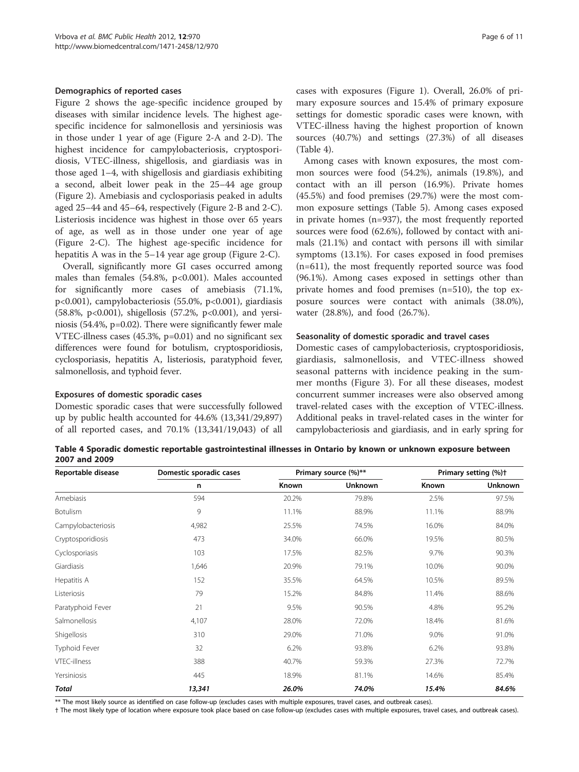#### Demographics of reported cases

Figure [2](#page-4-0) shows the age-specific incidence grouped by diseases with similar incidence levels. The highest agespecific incidence for salmonellosis and yersiniosis was in those under 1 year of age (Figure [2-](#page-4-0)A and 2-D). The highest incidence for campylobacteriosis, cryptosporidiosis, VTEC-illness, shigellosis, and giardiasis was in those aged 1–4, with shigellosis and giardiasis exhibiting a second, albeit lower peak in the 25–44 age group (Figure [2\)](#page-4-0). Amebiasis and cyclosporiasis peaked in adults aged 25–44 and 45–64, respectively (Figure [2](#page-4-0)-B and 2-C). Listeriosis incidence was highest in those over 65 years of age, as well as in those under one year of age (Figure [2](#page-4-0)-C). The highest age-specific incidence for hepatitis A was in the 5–14 year age group (Figure [2-](#page-4-0)C).

Overall, significantly more GI cases occurred among males than females (54.8%, p<0.001). Males accounted for significantly more cases of amebiasis (71.1%, p<0.001), campylobacteriosis (55.0%, p<0.001), giardiasis (58.8%, p<0.001), shigellosis (57.2%, p<0.001), and yersiniosis (54.4%, p=0.02). There were significantly fewer male VTEC-illness cases (45.3%, p=0.01) and no significant sex differences were found for botulism, cryptosporidiosis, cyclosporiasis, hepatitis A, listeriosis, paratyphoid fever, salmonellosis, and typhoid fever.

#### Exposures of domestic sporadic cases

Domestic sporadic cases that were successfully followed up by public health accounted for 44.6% (13,341/29,897) of all reported cases, and 70.1% (13,341/19,043) of all cases with exposures (Figure [1](#page-2-0)). Overall, 26.0% of primary exposure sources and 15.4% of primary exposure settings for domestic sporadic cases were known, with VTEC-illness having the highest proportion of known sources (40.7%) and settings (27.3%) of all diseases (Table 4).

Among cases with known exposures, the most common sources were food (54.2%), animals (19.8%), and contact with an ill person (16.9%). Private homes (45.5%) and food premises (29.7%) were the most common exposure settings (Table [5](#page-6-0)). Among cases exposed in private homes (n=937), the most frequently reported sources were food (62.6%), followed by contact with animals (21.1%) and contact with persons ill with similar symptoms (13.1%). For cases exposed in food premises (n=611), the most frequently reported source was food (96.1%). Among cases exposed in settings other than private homes and food premises (n=510), the top exposure sources were contact with animals (38.0%), water (28.8%), and food (26.7%).

#### Seasonality of domestic sporadic and travel cases

Domestic cases of campylobacteriosis, cryptosporidiosis, giardiasis, salmonellosis, and VTEC-illness showed seasonal patterns with incidence peaking in the summer months (Figure [3](#page-7-0)). For all these diseases, modest concurrent summer increases were also observed among travel-related cases with the exception of VTEC-illness. Additional peaks in travel-related cases in the winter for campylobacteriosis and giardiasis, and in early spring for

Table 4 Sporadic domestic reportable gastrointestinal illnesses in Ontario by known or unknown exposure between 2007 and 2009

| Reportable disease  | Domestic sporadic cases |       | Primary source (%)** | Primary setting (%) <sup>+</sup> |                |  |
|---------------------|-------------------------|-------|----------------------|----------------------------------|----------------|--|
|                     | n                       | Known | <b>Unknown</b>       | Known                            | <b>Unknown</b> |  |
| Amebiasis           | 594                     | 20.2% | 79.8%                | 2.5%                             | 97.5%          |  |
| Botulism            | 9                       | 11.1% | 88.9%                | 11.1%                            | 88.9%          |  |
| Campylobacteriosis  | 4,982                   | 25.5% | 74.5%                | 16.0%                            | 84.0%          |  |
| Cryptosporidiosis   | 473                     | 34.0% | 66.0%                | 19.5%                            | 80.5%          |  |
| Cyclosporiasis      | 103                     | 17.5% | 82.5%                | 9.7%                             | 90.3%          |  |
| Giardiasis          | 1,646                   | 20.9% | 79.1%                | 10.0%                            | 90.0%          |  |
| Hepatitis A         | 152                     | 35.5% | 64.5%                | 10.5%                            | 89.5%          |  |
| Listeriosis         | 79                      | 15.2% | 84.8%                | 11.4%                            | 88.6%          |  |
| Paratyphoid Fever   | 21                      | 9.5%  | 90.5%                | 4.8%                             | 95.2%          |  |
| Salmonellosis       | 4,107                   | 28.0% | 72.0%                | 18.4%                            | 81.6%          |  |
| Shigellosis         | 310                     | 29.0% | 71.0%                | 9.0%                             | 91.0%          |  |
| Typhoid Fever       | 32                      | 6.2%  | 93.8%                | 6.2%                             | 93.8%          |  |
| <b>VTEC-illness</b> | 388                     | 40.7% | 59.3%                | 27.3%                            | 72.7%          |  |
| Yersiniosis         | 445                     | 18.9% | 81.1%                | 14.6%                            | 85.4%          |  |
| <b>Total</b>        | 13,341                  | 26.0% | 74.0%                | 15.4%                            | 84.6%          |  |

\*\* The most likely source as identified on case follow-up (excludes cases with multiple exposures, travel cases, and outbreak cases).

† The most likely type of location where exposure took place based on case follow-up (excludes cases with multiple exposures, travel cases, and outbreak cases).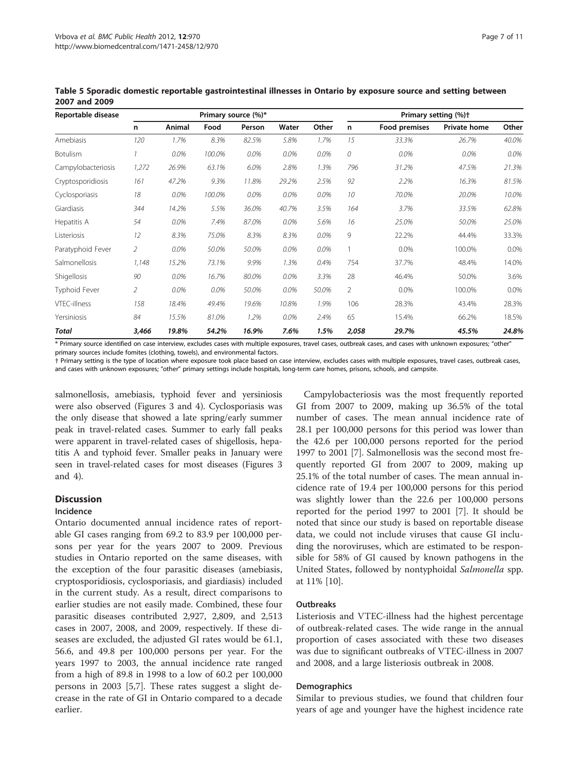| Reportable disease   |       | Primary source (%)* |        |        |       |         | Primary setting (%)+ |               |                     |       |
|----------------------|-------|---------------------|--------|--------|-------|---------|----------------------|---------------|---------------------|-------|
|                      | n     | Animal              | Food   | Person | Water | Other   | n                    | Food premises | <b>Private home</b> | Other |
| Amebiasis            | 120   | 1.7%                | 8.3%   | 82.5%  | 5.8%  | 1.7%    | 15                   | 33.3%         | 26.7%               | 40.0% |
| Botulism             |       | 0.0%                | 100.0% | 0.0%   | 0.0%  | 0.0%    | 0                    | 0.0%          | 0.0%                | 0.0%  |
| Campylobacteriosis   | 1,272 | 26.9%               | 63.1%  | 6.0%   | 2.8%  | 1.3%    | 796                  | 31.2%         | 47.5%               | 21.3% |
| Cryptosporidiosis    | 161   | 47.2%               | 9.3%   | 11.8%  | 29.2% | 2.5%    | 92                   | 2.2%          | 16.3%               | 81.5% |
| Cyclosporiasis       | 18    | 0.0%                | 100.0% | 0.0%   | 0.0%  | 0.0%    | 10                   | 70.0%         | 20.0%               | 10.0% |
| Giardiasis           | 344   | 14.2%               | 5.5%   | 36.0%  | 40.7% | 3.5%    | 164                  | 3.7%          | 33.5%               | 62.8% |
| Hepatitis A          | 54    | 0.0%                | 7.4%   | 87.0%  | 0.0%  | 5.6%    | 16                   | 25.0%         | 50.0%               | 25.0% |
| Listeriosis          | 12    | 8.3%                | 75.0%  | 8.3%   | 8.3%  | $0.0\%$ | 9                    | 22.2%         | 44.4%               | 33.3% |
| Paratyphoid Fever    | 2     | 0.0%                | 50.0%  | 50.0%  | 0.0%  | 0.0%    | $\mathbf{1}$         | 0.0%          | 100.0%              | 0.0%  |
| Salmonellosis        | 1,148 | 15.2%               | 73.1%  | 9.9%   | 1.3%  | 0.4%    | 754                  | 37.7%         | 48.4%               | 14.0% |
| <b>Shigellosis</b>   | 90    | 0.0%                | 16.7%  | 80.0%  | 0.0%  | 3.3%    | 28                   | 46.4%         | 50.0%               | 3.6%  |
| <b>Typhoid Fever</b> | 2     | 0.0%                | 0.0%   | 50.0%  | 0.0%  | 50.0%   | $\overline{2}$       | 0.0%          | 100.0%              | 0.0%  |
| <b>VTEC-illness</b>  | 158   | 18.4%               | 49.4%  | 19.6%  | 10.8% | 1.9%    | 106                  | 28.3%         | 43.4%               | 28.3% |
| Yersiniosis          | 84    | 15.5%               | 81.0%  | 1.2%   | 0.0%  | 2.4%    | 65                   | 15.4%         | 66.2%               | 18.5% |
| <b>Total</b>         | 3,466 | 19.8%               | 54.2%  | 16.9%  | 7.6%  | 1.5%    | 2,058                | 29.7%         | 45.5%               | 24.8% |

<span id="page-6-0"></span>Table 5 Sporadic domestic reportable gastrointestinal illnesses in Ontario by exposure source and setting between 2007 and 2009

\* Primary source identified on case interview, excludes cases with multiple exposures, travel cases, outbreak cases, and cases with unknown exposures; "other" primary sources include fomites (clothing, towels), and environmental factors.

† Primary setting is the type of location where exposure took place based on case interview, excludes cases with multiple exposures, travel cases, outbreak cases, and cases with unknown exposures; "other" primary settings include hospitals, long-term care homes, prisons, schools, and campsite.

salmonellosis, amebiasis, typhoid fever and yersiniosis were also observed (Figures [3](#page-7-0) and [4](#page-8-0)). Cyclosporiasis was the only disease that showed a late spring/early summer peak in travel-related cases. Summer to early fall peaks were apparent in travel-related cases of shigellosis, hepatitis A and typhoid fever. Smaller peaks in January were seen in travel-related cases for most diseases (Figures [3](#page-7-0) and [4\)](#page-8-0).

## **Discussion**

## Incidence

Ontario documented annual incidence rates of reportable GI cases ranging from 69.2 to 83.9 per 100,000 persons per year for the years 2007 to 2009. Previous studies in Ontario reported on the same diseases, with the exception of the four parasitic diseases (amebiasis, cryptosporidiosis, cyclosporiasis, and giardiasis) included in the current study. As a result, direct comparisons to earlier studies are not easily made. Combined, these four parasitic diseases contributed 2,927, 2,809, and 2,513 cases in 2007, 2008, and 2009, respectively. If these diseases are excluded, the adjusted GI rates would be 61.1, 56.6, and 49.8 per 100,000 persons per year. For the years 1997 to 2003, the annual incidence rate ranged from a high of 89.8 in 1998 to a low of 60.2 per 100,000 persons in 2003 [[5](#page-10-0),[7\]](#page-10-0). These rates suggest a slight decrease in the rate of GI in Ontario compared to a decade earlier.

Campylobacteriosis was the most frequently reported GI from 2007 to 2009, making up 36.5% of the total number of cases. The mean annual incidence rate of 28.1 per 100,000 persons for this period was lower than the 42.6 per 100,000 persons reported for the period 1997 to 2001 [\[7](#page-10-0)]. Salmonellosis was the second most frequently reported GI from 2007 to 2009, making up 25.1% of the total number of cases. The mean annual incidence rate of 19.4 per 100,000 persons for this period was slightly lower than the 22.6 per 100,000 persons reported for the period 1997 to 2001 [[7\]](#page-10-0). It should be noted that since our study is based on reportable disease data, we could not include viruses that cause GI including the noroviruses, which are estimated to be responsible for 58% of GI caused by known pathogens in the United States, followed by nontyphoidal Salmonella spp. at 11% [[10\]](#page-10-0).

## **Outbreaks**

Listeriosis and VTEC-illness had the highest percentage of outbreak-related cases. The wide range in the annual proportion of cases associated with these two diseases was due to significant outbreaks of VTEC-illness in 2007 and 2008, and a large listeriosis outbreak in 2008.

#### **Demographics**

Similar to previous studies, we found that children four years of age and younger have the highest incidence rate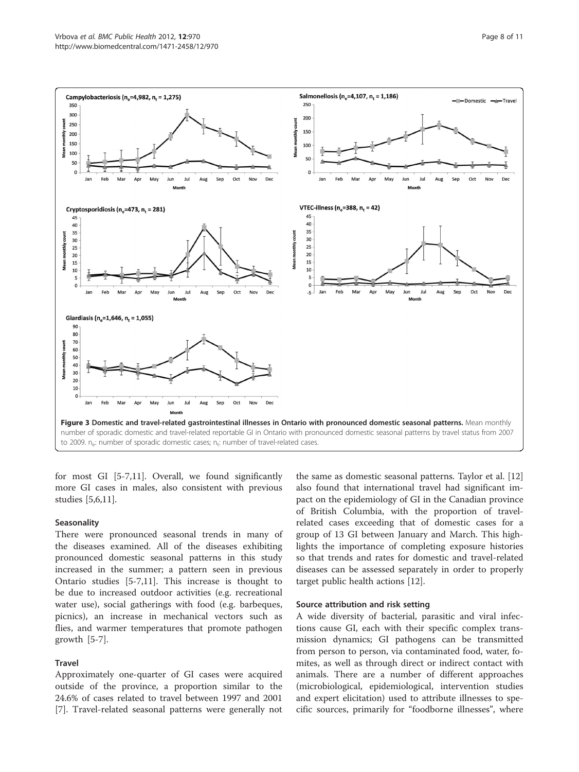<span id="page-7-0"></span>

for most GI [\[5](#page-10-0)-[7,11\]](#page-10-0). Overall, we found significantly more GI cases in males, also consistent with previous studies [\[5,6,11\]](#page-10-0).

#### **Seasonality**

There were pronounced seasonal trends in many of the diseases examined. All of the diseases exhibiting pronounced domestic seasonal patterns in this study increased in the summer; a pattern seen in previous Ontario studies [\[5-7](#page-10-0),[11](#page-10-0)]. This increase is thought to be due to increased outdoor activities (e.g. recreational water use), social gatherings with food (e.g. barbeques, picnics), an increase in mechanical vectors such as flies, and warmer temperatures that promote pathogen growth [[5-7](#page-10-0)].

#### Travel

Approximately one-quarter of GI cases were acquired outside of the province, a proportion similar to the 24.6% of cases related to travel between 1997 and 2001 [[7\]](#page-10-0). Travel-related seasonal patterns were generally not

the same as domestic seasonal patterns. Taylor et al. [[12](#page-10-0)] also found that international travel had significant impact on the epidemiology of GI in the Canadian province of British Columbia, with the proportion of travelrelated cases exceeding that of domestic cases for a group of 13 GI between January and March. This highlights the importance of completing exposure histories so that trends and rates for domestic and travel-related diseases can be assessed separately in order to properly target public health actions [\[12](#page-10-0)].

#### Source attribution and risk setting

A wide diversity of bacterial, parasitic and viral infections cause GI, each with their specific complex transmission dynamics; GI pathogens can be transmitted from person to person, via contaminated food, water, fomites, as well as through direct or indirect contact with animals. There are a number of different approaches (microbiological, epidemiological, intervention studies and expert elicitation) used to attribute illnesses to specific sources, primarily for "foodborne illnesses", where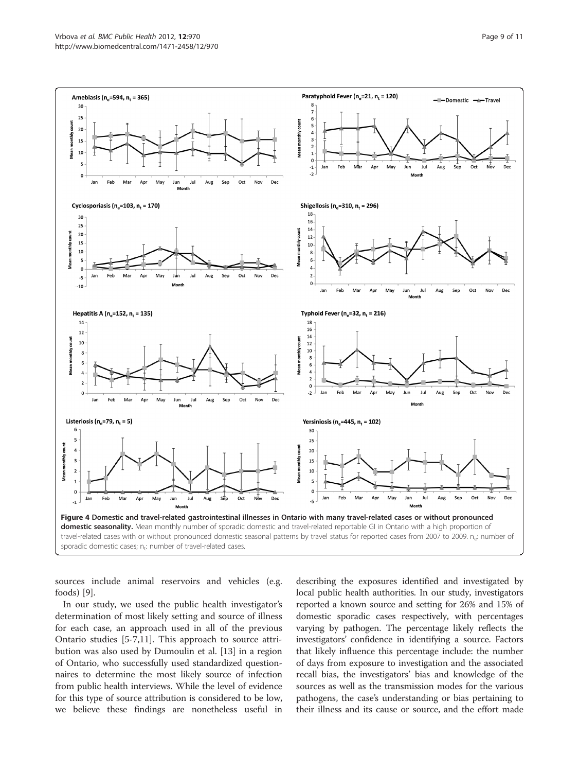<span id="page-8-0"></span>

sources include animal reservoirs and vehicles (e.g. foods) [\[9\]](#page-10-0).

In our study, we used the public health investigator's determination of most likely setting and source of illness for each case, an approach used in all of the previous Ontario studies [\[5](#page-10-0)-[7,11\]](#page-10-0). This approach to source attribution was also used by Dumoulin et al. [[13\]](#page-10-0) in a region of Ontario, who successfully used standardized questionnaires to determine the most likely source of infection from public health interviews. While the level of evidence for this type of source attribution is considered to be low, we believe these findings are nonetheless useful in

describing the exposures identified and investigated by local public health authorities. In our study, investigators reported a known source and setting for 26% and 15% of domestic sporadic cases respectively, with percentages varying by pathogen. The percentage likely reflects the investigators' confidence in identifying a source. Factors that likely influence this percentage include: the number of days from exposure to investigation and the associated recall bias, the investigators' bias and knowledge of the sources as well as the transmission modes for the various pathogens, the case's understanding or bias pertaining to their illness and its cause or source, and the effort made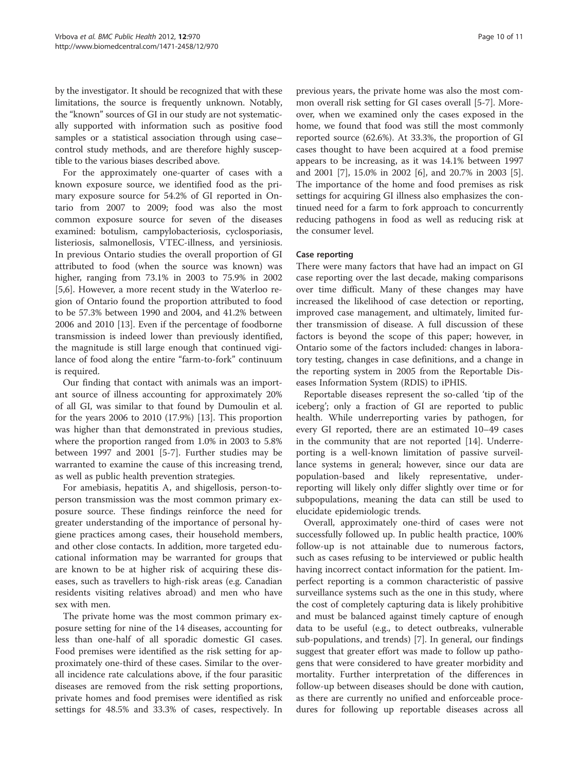by the investigator. It should be recognized that with these limitations, the source is frequently unknown. Notably, the "known" sources of GI in our study are not systematically supported with information such as positive food samples or a statistical association through using case– control study methods, and are therefore highly susceptible to the various biases described above.

For the approximately one-quarter of cases with a known exposure source, we identified food as the primary exposure source for 54.2% of GI reported in Ontario from 2007 to 2009; food was also the most common exposure source for seven of the diseases examined: botulism, campylobacteriosis, cyclosporiasis, listeriosis, salmonellosis, VTEC-illness, and yersiniosis. In previous Ontario studies the overall proportion of GI attributed to food (when the source was known) was higher, ranging from 73.1% in 2003 to 75.9% in 2002 [[5,6\]](#page-10-0). However, a more recent study in the Waterloo region of Ontario found the proportion attributed to food to be 57.3% between 1990 and 2004, and 41.2% between 2006 and 2010 [[13\]](#page-10-0). Even if the percentage of foodborne transmission is indeed lower than previously identified, the magnitude is still large enough that continued vigilance of food along the entire "farm-to-fork" continuum is required.

Our finding that contact with animals was an important source of illness accounting for approximately 20% of all GI, was similar to that found by Dumoulin et al. for the years 2006 to 2010 (17.9%) [\[13](#page-10-0)]. This proportion was higher than that demonstrated in previous studies, where the proportion ranged from 1.0% in 2003 to 5.8% between 1997 and 2001 [\[5](#page-10-0)-[7\]](#page-10-0). Further studies may be warranted to examine the cause of this increasing trend, as well as public health prevention strategies.

For amebiasis, hepatitis A, and shigellosis, person-toperson transmission was the most common primary exposure source. These findings reinforce the need for greater understanding of the importance of personal hygiene practices among cases, their household members, and other close contacts. In addition, more targeted educational information may be warranted for groups that are known to be at higher risk of acquiring these diseases, such as travellers to high-risk areas (e.g. Canadian residents visiting relatives abroad) and men who have sex with men.

The private home was the most common primary exposure setting for nine of the 14 diseases, accounting for less than one-half of all sporadic domestic GI cases. Food premises were identified as the risk setting for approximately one-third of these cases. Similar to the overall incidence rate calculations above, if the four parasitic diseases are removed from the risk setting proportions, private homes and food premises were identified as risk settings for 48.5% and 33.3% of cases, respectively. In previous years, the private home was also the most common overall risk setting for GI cases overall [[5-7](#page-10-0)]. Moreover, when we examined only the cases exposed in the home, we found that food was still the most commonly reported source (62.6%). At 33.3%, the proportion of GI cases thought to have been acquired at a food premise appears to be increasing, as it was 14.1% between 1997 and 2001 [\[7\]](#page-10-0), 15.0% in 2002 [[6\]](#page-10-0), and 20.7% in 2003 [\[5](#page-10-0)]. The importance of the home and food premises as risk settings for acquiring GI illness also emphasizes the continued need for a farm to fork approach to concurrently reducing pathogens in food as well as reducing risk at the consumer level.

#### Case reporting

There were many factors that have had an impact on GI case reporting over the last decade, making comparisons over time difficult. Many of these changes may have increased the likelihood of case detection or reporting, improved case management, and ultimately, limited further transmission of disease. A full discussion of these factors is beyond the scope of this paper; however, in Ontario some of the factors included: changes in laboratory testing, changes in case definitions, and a change in the reporting system in 2005 from the Reportable Diseases Information System (RDIS) to iPHIS.

Reportable diseases represent the so-called 'tip of the iceberg'; only a fraction of GI are reported to public health. While underreporting varies by pathogen, for every GI reported, there are an estimated 10–49 cases in the community that are not reported [[14\]](#page-10-0). Underreporting is a well-known limitation of passive surveillance systems in general; however, since our data are population-based and likely representative, underreporting will likely only differ slightly over time or for subpopulations, meaning the data can still be used to elucidate epidemiologic trends.

Overall, approximately one-third of cases were not successfully followed up. In public health practice, 100% follow-up is not attainable due to numerous factors, such as cases refusing to be interviewed or public health having incorrect contact information for the patient. Imperfect reporting is a common characteristic of passive surveillance systems such as the one in this study, where the cost of completely capturing data is likely prohibitive and must be balanced against timely capture of enough data to be useful (e.g., to detect outbreaks, vulnerable sub-populations, and trends) [[7\]](#page-10-0). In general, our findings suggest that greater effort was made to follow up pathogens that were considered to have greater morbidity and mortality. Further interpretation of the differences in follow-up between diseases should be done with caution, as there are currently no unified and enforceable procedures for following up reportable diseases across all